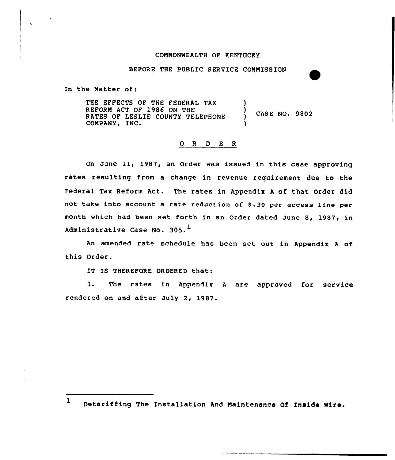## CONNONWEALTH OP KENTUCKY

BEPORE THE PUBLIC SERVICE CONNISSION

In the Natter of:

THE EFFECTS OF THE FEDERAL TAX REPORN ACT OP 1986 ON THE RATES OP LESLIE COUNTY TELEPHONE COMPANY, INC. ) ) CASE NO. 9802 )

## 0 <sup>R</sup> <sup>D</sup> E <sup>R</sup>

On June 11, 1987, an Order was issued in this case approving rates resulting from a change in revenue requirement due to the Federal Tax Reform Act. The rates in Appendix <sup>A</sup> of that Order did not take into account a rate reduction of \$.30 per access line per month which had been set forth in an Order dated June 8, 1987, in Administrative Case No.  $305.^1$ 

An amended rate schedule has been set out in Appendix <sup>A</sup> of this Order.

IT IS THEREFORE ORDERED that:

1. The rates in Appendix <sup>A</sup> are approved for service rendered on and after July 2, 1987.

Detariffing The Installation And Maintenance Of Inside Wire.

 $\mathbf{1}$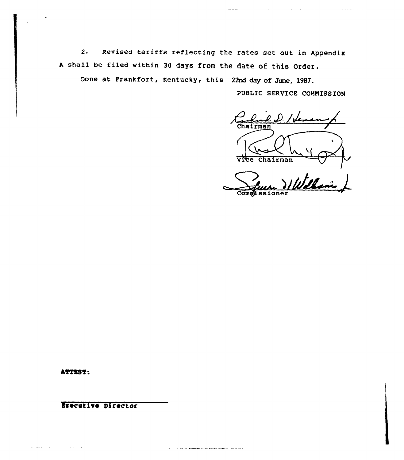2. Revised tariffs reflecting the rates set out in Appendix <sup>A</sup> shall be filed within <sup>30</sup> days from the date of this Order.

Done at Frankfort, Kentucky, this 22nd day of June, 1987.

PUBLIC SERVICE COMMISSION

and the control of the control of the control of the control of the control of the control of the control of the control of the control of the control of the control of the control of the control of the control of the cont

hairman ( vite chairman

**Commassioner** 

ATTEST:

 $\alpha$  ) and an algebra  $\alpha$  , where  $\alpha$  is  $\alpha$  , where  $\alpha$  is  $\alpha$  , where  $\alpha$ 

Executive Director